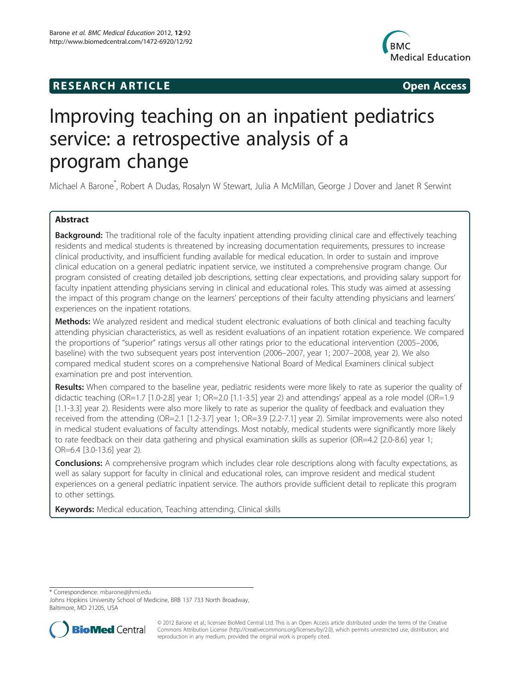## **RESEARCH ARTICLE Example 2018 12:00 Open Access**



# Improving teaching on an inpatient pediatrics service: a retrospective analysis of a program change

Michael A Barone\* , Robert A Dudas, Rosalyn W Stewart, Julia A McMillan, George J Dover and Janet R Serwint

## Abstract

Background: The traditional role of the faculty inpatient attending providing clinical care and effectively teaching residents and medical students is threatened by increasing documentation requirements, pressures to increase clinical productivity, and insufficient funding available for medical education. In order to sustain and improve clinical education on a general pediatric inpatient service, we instituted a comprehensive program change. Our program consisted of creating detailed job descriptions, setting clear expectations, and providing salary support for faculty inpatient attending physicians serving in clinical and educational roles. This study was aimed at assessing the impact of this program change on the learners' perceptions of their faculty attending physicians and learners' experiences on the inpatient rotations.

Methods: We analyzed resident and medical student electronic evaluations of both clinical and teaching faculty attending physician characteristics, as well as resident evaluations of an inpatient rotation experience. We compared the proportions of "superior" ratings versus all other ratings prior to the educational intervention (2005–2006, baseline) with the two subsequent years post intervention (2006–2007, year 1; 2007–2008, year 2). We also compared medical student scores on a comprehensive National Board of Medical Examiners clinical subject examination pre and post intervention.

Results: When compared to the baseline year, pediatric residents were more likely to rate as superior the quality of didactic teaching (OR=1.7 [1.0-2.8] year 1; OR=2.0 [1.1-3.5] year 2) and attendings' appeal as a role model (OR=1.9 [1.1-3.3] year 2). Residents were also more likely to rate as superior the quality of feedback and evaluation they received from the attending (OR=2.1 [1.2-3.7] year 1; OR=3.9 [2.2-7.1] year 2). Similar improvements were also noted in medical student evaluations of faculty attendings. Most notably, medical students were significantly more likely to rate feedback on their data gathering and physical examination skills as superior (OR=4.2 [2.0-8.6] year 1; OR=6.4 [3.0-13.6] year 2).

**Conclusions:** A comprehensive program which includes clear role descriptions along with faculty expectations, as well as salary support for faculty in clinical and educational roles, can improve resident and medical student experiences on a general pediatric inpatient service. The authors provide sufficient detail to replicate this program to other settings.

Keywords: Medical education, Teaching attending, Clinical skills

\* Correspondence: [mbarone@jhmi.edu](mailto:mbarone@jhmi.edu)

Johns Hopkins University School of Medicine, BRB 137 733 North Broadway, Baltimore, MD 21205, USA



© 2012 Barone et al.; licensee BioMed Central Ltd. This is an Open Access article distributed under the terms of the Creative Commons Attribution License [\(http://creativecommons.org/licenses/by/2.0\)](http://creativecommons.org/licenses/by/2.0), which permits unrestricted use, distribution, and reproduction in any medium, provided the original work is properly cited.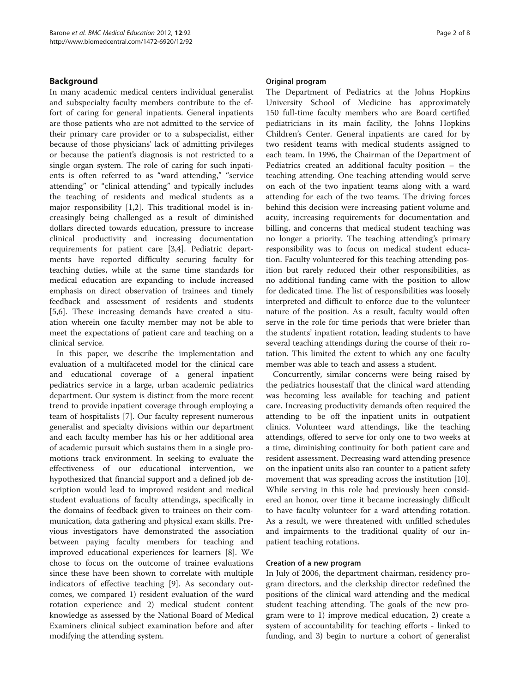## Background

In many academic medical centers individual generalist and subspecialty faculty members contribute to the effort of caring for general inpatients. General inpatients are those patients who are not admitted to the service of their primary care provider or to a subspecialist, either because of those physicians' lack of admitting privileges or because the patient's diagnosis is not restricted to a single organ system. The role of caring for such inpatients is often referred to as "ward attending," "service attending" or "clinical attending" and typically includes the teaching of residents and medical students as a major responsibility [[1,2\]](#page-7-0). This traditional model is increasingly being challenged as a result of diminished dollars directed towards education, pressure to increase clinical productivity and increasing documentation requirements for patient care [[3,4\]](#page-7-0). Pediatric departments have reported difficulty securing faculty for teaching duties, while at the same time standards for medical education are expanding to include increased emphasis on direct observation of trainees and timely feedback and assessment of residents and students [[5,6\]](#page-7-0). These increasing demands have created a situation wherein one faculty member may not be able to meet the expectations of patient care and teaching on a clinical service.

In this paper, we describe the implementation and evaluation of a multifaceted model for the clinical care and educational coverage of a general inpatient pediatrics service in a large, urban academic pediatrics department. Our system is distinct from the more recent trend to provide inpatient coverage through employing a team of hospitalists [[7\]](#page-7-0). Our faculty represent numerous generalist and specialty divisions within our department and each faculty member has his or her additional area of academic pursuit which sustains them in a single promotions track environment. In seeking to evaluate the effectiveness of our educational intervention, we hypothesized that financial support and a defined job description would lead to improved resident and medical student evaluations of faculty attendings, specifically in the domains of feedback given to trainees on their communication, data gathering and physical exam skills. Previous investigators have demonstrated the association between paying faculty members for teaching and improved educational experiences for learners [\[8](#page-7-0)]. We chose to focus on the outcome of trainee evaluations since these have been shown to correlate with multiple indicators of effective teaching [\[9](#page-7-0)]. As secondary outcomes, we compared 1) resident evaluation of the ward rotation experience and 2) medical student content knowledge as assessed by the National Board of Medical Examiners clinical subject examination before and after modifying the attending system.

#### Original program

The Department of Pediatrics at the Johns Hopkins University School of Medicine has approximately 150 full-time faculty members who are Board certified pediatricians in its main facility, the Johns Hopkins Children's Center. General inpatients are cared for by two resident teams with medical students assigned to each team. In 1996, the Chairman of the Department of Pediatrics created an additional faculty position – the teaching attending. One teaching attending would serve on each of the two inpatient teams along with a ward attending for each of the two teams. The driving forces behind this decision were increasing patient volume and acuity, increasing requirements for documentation and billing, and concerns that medical student teaching was no longer a priority. The teaching attending's primary responsibility was to focus on medical student education. Faculty volunteered for this teaching attending position but rarely reduced their other responsibilities, as no additional funding came with the position to allow for dedicated time. The list of responsibilities was loosely interpreted and difficult to enforce due to the volunteer nature of the position. As a result, faculty would often serve in the role for time periods that were briefer than the students' inpatient rotation, leading students to have several teaching attendings during the course of their rotation. This limited the extent to which any one faculty member was able to teach and assess a student.

Concurrently, similar concerns were being raised by the pediatrics housestaff that the clinical ward attending was becoming less available for teaching and patient care. Increasing productivity demands often required the attending to be off the inpatient units in outpatient clinics. Volunteer ward attendings, like the teaching attendings, offered to serve for only one to two weeks at a time, diminishing continuity for both patient care and resident assessment. Decreasing ward attending presence on the inpatient units also ran counter to a patient safety movement that was spreading across the institution [\[10](#page-7-0)]. While serving in this role had previously been considered an honor, over time it became increasingly difficult to have faculty volunteer for a ward attending rotation. As a result, we were threatened with unfilled schedules and impairments to the traditional quality of our inpatient teaching rotations.

#### Creation of a new program

In July of 2006, the department chairman, residency program directors, and the clerkship director redefined the positions of the clinical ward attending and the medical student teaching attending. The goals of the new program were to 1) improve medical education, 2) create a system of accountability for teaching efforts - linked to funding, and 3) begin to nurture a cohort of generalist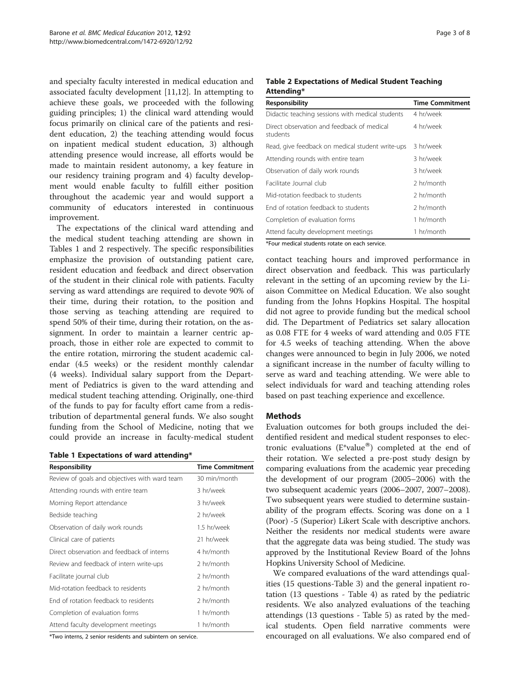and specialty faculty interested in medical education and associated faculty development [[11,12](#page-7-0)]. In attempting to achieve these goals, we proceeded with the following guiding principles; 1) the clinical ward attending would focus primarily on clinical care of the patients and resident education, 2) the teaching attending would focus on inpatient medical student education, 3) although attending presence would increase, all efforts would be made to maintain resident autonomy, a key feature in our residency training program and 4) faculty development would enable faculty to fulfill either position throughout the academic year and would support a community of educators interested in continuous improvement.

The expectations of the clinical ward attending and the medical student teaching attending are shown in Tables 1 and 2 respectively. The specific responsibilities emphasize the provision of outstanding patient care, resident education and feedback and direct observation of the student in their clinical role with patients. Faculty serving as ward attendings are required to devote 90% of their time, during their rotation, to the position and those serving as teaching attending are required to spend 50% of their time, during their rotation, on the assignment. In order to maintain a learner centric approach, those in either role are expected to commit to the entire rotation, mirroring the student academic calendar (4.5 weeks) or the resident monthly calendar (4 weeks). Individual salary support from the Department of Pediatrics is given to the ward attending and medical student teaching attending. Originally, one-third of the funds to pay for faculty effort came from a redistribution of departmental general funds. We also sought funding from the School of Medicine, noting that we could provide an increase in faculty-medical student

Table 1 Expectations of ward attending\*

| Responsibility                                | <b>Time Commitment</b> |
|-----------------------------------------------|------------------------|
| Review of goals and objectives with ward team | 30 min/month           |
| Attending rounds with entire team             | 3 hr/week              |
| Morning Report attendance                     | 3 hr/week              |
| Bedside teaching                              | 2 hr/week              |
| Observation of daily work rounds              | 1.5 hr/week            |
| Clinical care of patients                     | 21 hr/week             |
| Direct observation and feedback of interns    | 4 hr/month             |
| Review and feedback of intern write-ups       | 2 hr/month             |
| Facilitate journal club                       | 2 hr/month             |
| Mid-rotation feedback to residents            | 2 hr/month             |
| End of rotation feedback to residents         | 2 hr/month             |
| Completion of evaluation forms                | 1 hr/month             |
| Attend faculty development meetings           | 1 hr/month             |

\*Two interns, 2 senior residents and subintern on service.

| <b>Table 2 Expectations of Medical Student Teaching</b> |  |  |
|---------------------------------------------------------|--|--|
| Attending*                                              |  |  |

| Responsibility                                         | <b>Time Commitment</b> |
|--------------------------------------------------------|------------------------|
| Didactic teaching sessions with medical students       | 4 hr/week              |
| Direct observation and feedback of medical<br>students | 4 hr/week              |
| Read, give feedback on medical student write-ups       | 3 hr/week              |
| Attending rounds with entire team                      | 3 hr/week              |
| Observation of daily work rounds                       | 3 hr/week              |
| Facilitate Journal club                                | 2 hr/month             |
| Mid-rotation feedback to students                      | 2 hr/month             |
| End of rotation feedback to students                   | 2 hr/month             |
| Completion of evaluation forms                         | 1 hr/month             |
| Attend faculty development meetings                    | 1 hr/month             |

\*Four medical students rotate on each service.

contact teaching hours and improved performance in direct observation and feedback. This was particularly relevant in the setting of an upcoming review by the Liaison Committee on Medical Education. We also sought funding from the Johns Hopkins Hospital. The hospital did not agree to provide funding but the medical school did. The Department of Pediatrics set salary allocation as 0.08 FTE for 4 weeks of ward attending and 0.05 FTE for 4.5 weeks of teaching attending. When the above changes were announced to begin in July 2006, we noted a significant increase in the number of faculty willing to serve as ward and teaching attending. We were able to select individuals for ward and teaching attending roles based on past teaching experience and excellence.

## **Methods**

Evaluation outcomes for both groups included the deidentified resident and medical student responses to electronic evaluations ( $E^*$ value<sup>®</sup>) completed at the end of their rotation. We selected a pre-post study design by comparing evaluations from the academic year preceding the development of our program (2005–2006) with the two subsequent academic years (2006–2007, 2007–2008). Two subsequent years were studied to determine sustainability of the program effects. Scoring was done on a 1 (Poor) -5 (Superior) Likert Scale with descriptive anchors. Neither the residents nor medical students were aware that the aggregate data was being studied. The study was approved by the Institutional Review Board of the Johns Hopkins University School of Medicine.

We compared evaluations of the ward attendings qualities (15 questions-Table [3\)](#page-3-0) and the general inpatient rotation (13 questions - Table [4](#page-3-0)) as rated by the pediatric residents. We also analyzed evaluations of the teaching attendings (13 questions - Table [5\)](#page-4-0) as rated by the medical students. Open field narrative comments were encouraged on all evaluations. We also compared end of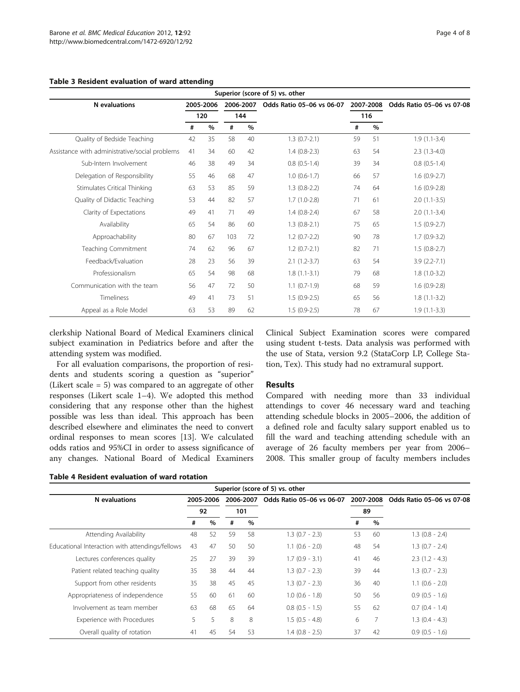## <span id="page-3-0"></span>Table 3 Resident evaluation of ward attending

| Superior (score of 5) vs. other                |     |           |     |           |                           |                  |      |                           |  |
|------------------------------------------------|-----|-----------|-----|-----------|---------------------------|------------------|------|---------------------------|--|
| N evaluations                                  |     | 2005-2006 |     | 2006-2007 | Odds Ratio 05-06 vs 06-07 | 2007-2008<br>116 |      | Odds Ratio 05-06 vs 07-08 |  |
|                                                | 120 |           | 144 |           |                           |                  |      |                           |  |
|                                                | #   | %         | #   | %         |                           | #                | $\%$ |                           |  |
| Quality of Bedside Teaching                    | 42  | 35        | 58  | 40        | $1.3(0.7-2.1)$            | 59               | 51   | $1.9(1.1-3.4)$            |  |
| Assistance with administrative/social problems | 41  | 34        | 60  | 42        | $1.4(0.8-2.3)$            | 63               | 54   | $2.3(1.3-4.0)$            |  |
| Sub-Intern Involvement                         | 46  | 38        | 49  | 34        | $0.8(0.5-1.4)$            | 39               | 34   | $0.8$ $(0.5-1.4)$         |  |
| Delegation of Responsibility                   | 55  | 46        | 68  | 47        | $1.0(0.6-1.7)$            | 66               | 57   | $1.6(0.9-2.7)$            |  |
| Stimulates Critical Thinking                   | 63  | 53        | 85  | 59        | $1.3(0.8-2.2)$            | 74               | 64   | $1.6(0.9-2.8)$            |  |
| Quality of Didactic Teaching                   | 53  | 44        | 82  | 57        | $1.7(1.0-2.8)$            | 71               | 61   | $2.0(1.1-3.5)$            |  |
| Clarity of Expectations                        | 49  | 41        | 71  | 49        | $1.4(0.8-2.4)$            | 67               | 58   | $2.0(1.1-3.4)$            |  |
| Availability                                   | 65  | 54        | 86  | 60        | $1.3(0.8-2.1)$            | 75               | 65   | $1.5(0.9-2.7)$            |  |
| Approachability                                | 80  | 67        | 103 | 72        | $1.2(0.7-2.2)$            | 90               | 78   | $1.7(0.9-3.2)$            |  |
| <b>Teaching Commitment</b>                     | 74  | 62        | 96  | 67        | $1.2(0.7-2.1)$            | 82               | 71   | $1.5(0.8-2.7)$            |  |
| Feedback/Evaluation                            | 28  | 23        | 56  | 39        | $2.1(1.2-3.7)$            | 63               | 54   | $3.9(2.2 - 7.1)$          |  |
| Professionalism                                | 65  | 54        | 98  | 68        | $1.8(1.1-3.1)$            | 79               | 68   | $1.8(1.0-3.2)$            |  |
| Communication with the team                    | 56  | 47        | 72  | 50        | $1.1(0.7-1.9)$            | 68               | 59   | $1.6(0.9-2.8)$            |  |
| Timeliness                                     | 49  | 41        | 73  | 51        | $1.5(0.9-2.5)$            | 65               | 56   | $1.8(1.1-3.2)$            |  |
| Appeal as a Role Model                         | 63  | 53        | 89  | 62        | $1.5(0.9-2.5)$            | 78               | 67   | $1.9(1.1-3.3)$            |  |

clerkship National Board of Medical Examiners clinical subject examination in Pediatrics before and after the attending system was modified.

For all evaluation comparisons, the proportion of residents and students scoring a question as "superior" (Likert scale = 5) was compared to an aggregate of other responses (Likert scale 1–4). We adopted this method considering that any response other than the highest possible was less than ideal. This approach has been described elsewhere and eliminates the need to convert ordinal responses to mean scores [[13\]](#page-7-0). We calculated odds ratios and 95%CI in order to assess significance of any changes. National Board of Medical Examiners

Table 4 Resident evaluation of ward rotation

Clinical Subject Examination scores were compared using student t-tests. Data analysis was performed with the use of Stata, version 9.2 (StataCorp LP, College Station, Tex). This study had no extramural support.

## **Results**

Compared with needing more than 33 individual attendings to cover 46 necessary ward and teaching attending schedule blocks in 2005–2006, the addition of a defined role and faculty salary support enabled us to fill the ward and teaching attending schedule with an average of 26 faculty members per year from 2006– 2008. This smaller group of faculty members includes

| Superior (score of 5) vs. other                 |    |           |     |           |                           |    |           |                           |  |
|-------------------------------------------------|----|-----------|-----|-----------|---------------------------|----|-----------|---------------------------|--|
| N evaluations                                   |    | 2005-2006 |     | 2006-2007 | Odds Ratio 05-06 vs 06-07 |    | 2007-2008 | Odds Ratio 05-06 vs 07-08 |  |
|                                                 | 92 |           | 101 |           |                           | 89 |           |                           |  |
|                                                 | #  | $\%$      | #   | $\%$      |                           | #  | %         |                           |  |
| Attending Availability                          | 48 | 52        | 59  | 58        | $1.3$ (0.7 - 2.3)         | 53 | 60        | $1.3(0.8 - 2.4)$          |  |
| Educational Interaction with attendings/fellows | 43 | 47        | 50  | 50        | $1.1$ (0.6 - 2.0)         | 48 | 54        | $1.3(0.7 - 2.4)$          |  |
| Lectures conferences quality                    | 25 | 27        | 39  | 39        | $1.7(0.9 - 3.1)$          | 41 | 46        | $2.3(1.2 - 4.3)$          |  |
| Patient related teaching quality                | 35 | 38        | 44  | 44        | $1.3$ (0.7 - 2.3)         | 39 | 44        | $1.3$ (0.7 - 2.3)         |  |
| Support from other residents                    | 35 | 38        | 45  | 45        | $1.3$ (0.7 - 2.3)         | 36 | 40        | $1.1$ $(0.6 - 2.0)$       |  |
| Appropriateness of independence                 | 55 | 60        | 61  | 60        | $1.0$ (0.6 - 1.8)         | 50 | 56        | $0.9(0.5 - 1.6)$          |  |
| Involvement as team member                      | 63 | 68        | 65  | 64        | $0.8$ (0.5 - 1.5)         | 55 | 62        | $0.7(0.4 - 1.4)$          |  |
| Experience with Procedures                      | 5. | 5         | 8   | 8         | $1.5(0.5 - 4.8)$          | 6  |           | $1.3(0.4 - 4.3)$          |  |
| Overall quality of rotation                     | 41 | 45        | 54  | 53        | $1.4(0.8 - 2.5)$          | 37 | 42        | $0.9(0.5 - 1.6)$          |  |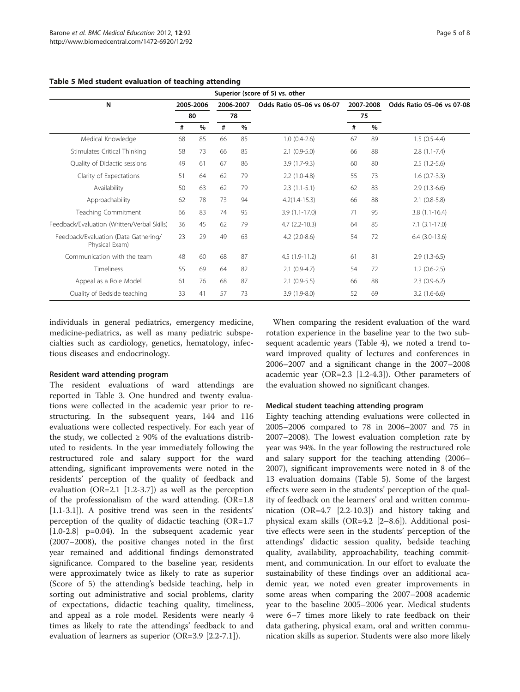| Superior (score of 5) vs. other                        |                 |    |                 |      |                           |                 |    |                           |  |
|--------------------------------------------------------|-----------------|----|-----------------|------|---------------------------|-----------------|----|---------------------------|--|
| N                                                      | 2005-2006<br>80 |    | 2006-2007<br>78 |      | Odds Ratio 05-06 vs 06-07 | 2007-2008<br>75 |    | Odds Ratio 05-06 vs 07-08 |  |
|                                                        |                 |    |                 |      |                           |                 |    |                           |  |
|                                                        | #               | %  | #               | $\%$ |                           | #               | %  |                           |  |
| Medical Knowledge                                      | 68              | 85 | 66              | 85   | $1.0(0.4-2.6)$            | 67              | 89 | $1.5(0.5-4.4)$            |  |
| Stimulates Critical Thinking                           | 58              | 73 | 66              | 85   | $2.1(0.9-5.0)$            | 66              | 88 | $2.8(1.1-7.4)$            |  |
| Quality of Didactic sessions                           | 49              | 61 | 67              | 86   | $3.9(1.7-9.3)$            | 60              | 80 | $2.5(1.2-5.6)$            |  |
| Clarity of Expectations                                | 51              | 64 | 62              | 79   | $2.2(1.0-4.8)$            | 55              | 73 | $1.6(0.7-3.3)$            |  |
| Availability                                           | 50              | 63 | 62              | 79   | $2.3(1.1-5.1)$            | 62              | 83 | $2.9(1.3-6.6)$            |  |
| Approachability                                        | 62              | 78 | 73              | 94   | $4.2(1.4-15.3)$           | 66              | 88 | $2.1$ (0.8-5.8)           |  |
| <b>Teaching Commitment</b>                             | 66              | 83 | 74              | 95   | $3.9(1.1-17.0)$           | 71              | 95 | $3.8(1.1-16.4)$           |  |
| Feedback/Evaluation (Written/Verbal Skills)            | 36              | 45 | 62              | 79   | $4.7(2.2 - 10.3)$         | 64              | 85 | $7.1(3.1-17.0)$           |  |
| Feedback/Evaluation (Data Gathering/<br>Physical Exam) | 23              | 29 | 49              | 63   | $4.2$ (2.0-8.6)           | 54              | 72 | $6.4$ (3.0-13.6)          |  |
| Communication with the team                            | 48              | 60 | 68              | 87   | $4.5(1.9-11.2)$           | 61              | 81 | $2.9(1.3-6.5)$            |  |
| <b>Timeliness</b>                                      | 55              | 69 | 64              | 82   | $2.1(0.9-4.7)$            | 54              | 72 | $1.2(0.6-2.5)$            |  |
| Appeal as a Role Model                                 | 61              | 76 | 68              | 87   | $2.1(0.9-5.5)$            | 66              | 88 | $2.3(0.9-6.2)$            |  |
| Quality of Bedside teaching                            | 33              | 41 | 57              | 73   | $3.9(1.9-8.0)$            | 52              | 69 | $3.2(1.6-6.6)$            |  |

## <span id="page-4-0"></span>Table 5 Med student evaluation of teaching attending

individuals in general pediatrics, emergency medicine, medicine-pediatrics, as well as many pediatric subspecialties such as cardiology, genetics, hematology, infectious diseases and endocrinology.

#### Resident ward attending program

The resident evaluations of ward attendings are reported in Table [3.](#page-3-0) One hundred and twenty evaluations were collected in the academic year prior to restructuring. In the subsequent years, 144 and 116 evaluations were collected respectively. For each year of the study, we collected  $\geq$  90% of the evaluations distributed to residents. In the year immediately following the restructured role and salary support for the ward attending, significant improvements were noted in the residents' perception of the quality of feedback and evaluation  $(OR=2.1 \t[1.2-3.7])$  as well as the perception of the professionalism of the ward attending. (OR=1.8 [1.1-3.1]). A positive trend was seen in the residents' perception of the quality of didactic teaching (OR=1.7  $[1.0-2.8]$  p=0.04). In the subsequent academic year (2007–2008), the positive changes noted in the first year remained and additional findings demonstrated significance. Compared to the baseline year, residents were approximately twice as likely to rate as superior (Score of 5) the attending's bedside teaching, help in sorting out administrative and social problems, clarity of expectations, didactic teaching quality, timeliness, and appeal as a role model. Residents were nearly 4 times as likely to rate the attendings' feedback to and evaluation of learners as superior (OR=3.9 [2.2-7.1]).

When comparing the resident evaluation of the ward rotation experience in the baseline year to the two subsequent academic years (Table [4\)](#page-3-0), we noted a trend toward improved quality of lectures and conferences in 2006–2007 and a significant change in the 2007–2008 academic year (OR=2.3 [1.2-4.3]). Other parameters of the evaluation showed no significant changes.

## Medical student teaching attending program

Eighty teaching attending evaluations were collected in 2005–2006 compared to 78 in 2006–2007 and 75 in 2007–2008). The lowest evaluation completion rate by year was 94%. In the year following the restructured role and salary support for the teaching attending (2006– 2007), significant improvements were noted in 8 of the 13 evaluation domains (Table 5). Some of the largest effects were seen in the students' perception of the quality of feedback on the learners' oral and written communication (OR=4.7 [2.2-10.3]) and history taking and physical exam skills (OR=4.2 [2–8.6]). Additional positive effects were seen in the students' perception of the attendings' didactic session quality, bedside teaching quality, availability, approachability, teaching commitment, and communication. In our effort to evaluate the sustainability of these findings over an additional academic year, we noted even greater improvements in some areas when comparing the 2007–2008 academic year to the baseline 2005–2006 year. Medical students were 6–7 times more likely to rate feedback on their data gathering, physical exam, oral and written communication skills as superior. Students were also more likely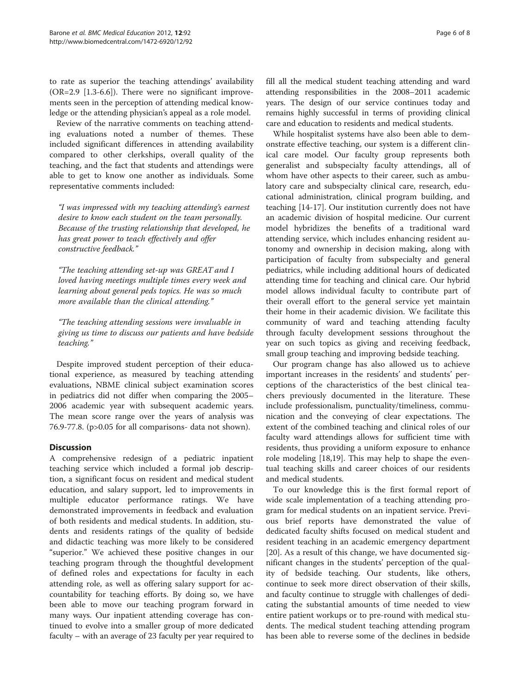to rate as superior the teaching attendings' availability (OR=2.9 [1.3-6.6]). There were no significant improvements seen in the perception of attending medical knowledge or the attending physician's appeal as a role model.

Review of the narrative comments on teaching attending evaluations noted a number of themes. These included significant differences in attending availability compared to other clerkships, overall quality of the teaching, and the fact that students and attendings were able to get to know one another as individuals. Some representative comments included:

"I was impressed with my teaching attending's earnest desire to know each student on the team personally. Because of the trusting relationship that developed, he has great power to teach effectively and offer constructive feedback."

"The teaching attending set-up was GREAT and I loved having meetings multiple times every week and learning about general peds topics. He was so much more available than the clinical attending."

"The teaching attending sessions were invaluable in giving us time to discuss our patients and have bedside teaching."

Despite improved student perception of their educational experience, as measured by teaching attending evaluations, NBME clinical subject examination scores in pediatrics did not differ when comparing the 2005– 2006 academic year with subsequent academic years. The mean score range over the years of analysis was 76.9-77.8. (p>0.05 for all comparisons- data not shown).

## **Discussion**

A comprehensive redesign of a pediatric inpatient teaching service which included a formal job description, a significant focus on resident and medical student education, and salary support, led to improvements in multiple educator performance ratings. We have demonstrated improvements in feedback and evaluation of both residents and medical students. In addition, students and residents ratings of the quality of bedside and didactic teaching was more likely to be considered "superior." We achieved these positive changes in our teaching program through the thoughtful development of defined roles and expectations for faculty in each attending role, as well as offering salary support for accountability for teaching efforts. By doing so, we have been able to move our teaching program forward in many ways. Our inpatient attending coverage has continued to evolve into a smaller group of more dedicated faculty – with an average of 23 faculty per year required to fill all the medical student teaching attending and ward attending responsibilities in the 2008–2011 academic years. The design of our service continues today and remains highly successful in terms of providing clinical care and education to residents and medical students.

While hospitalist systems have also been able to demonstrate effective teaching, our system is a different clinical care model. Our faculty group represents both generalist and subspecialty faculty attendings, all of whom have other aspects to their career, such as ambulatory care and subspecialty clinical care, research, educational administration, clinical program building, and teaching [\[14](#page-7-0)-[17\]](#page-7-0). Our institution currently does not have an academic division of hospital medicine. Our current model hybridizes the benefits of a traditional ward attending service, which includes enhancing resident autonomy and ownership in decision making, along with participation of faculty from subspecialty and general pediatrics, while including additional hours of dedicated attending time for teaching and clinical care. Our hybrid model allows individual faculty to contribute part of their overall effort to the general service yet maintain their home in their academic division. We facilitate this community of ward and teaching attending faculty through faculty development sessions throughout the year on such topics as giving and receiving feedback, small group teaching and improving bedside teaching.

Our program change has also allowed us to achieve important increases in the residents' and students' perceptions of the characteristics of the best clinical teachers previously documented in the literature. These include professionalism, punctuality/timeliness, communication and the conveying of clear expectations. The extent of the combined teaching and clinical roles of our faculty ward attendings allows for sufficient time with residents, thus providing a uniform exposure to enhance role modeling [[18](#page-7-0),[19](#page-7-0)]. This may help to shape the eventual teaching skills and career choices of our residents and medical students.

To our knowledge this is the first formal report of wide scale implementation of a teaching attending program for medical students on an inpatient service. Previous brief reports have demonstrated the value of dedicated faculty shifts focused on medical student and resident teaching in an academic emergency department [[20\]](#page-7-0). As a result of this change, we have documented significant changes in the students' perception of the quality of bedside teaching. Our students, like others, continue to seek more direct observation of their skills, and faculty continue to struggle with challenges of dedicating the substantial amounts of time needed to view entire patient workups or to pre-round with medical students. The medical student teaching attending program has been able to reverse some of the declines in bedside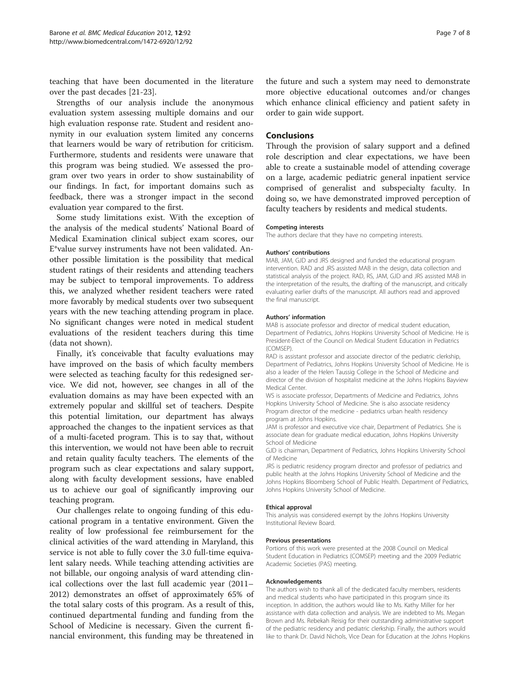teaching that have been documented in the literature over the past decades [[21-23\]](#page-7-0).

Strengths of our analysis include the anonymous evaluation system assessing multiple domains and our high evaluation response rate. Student and resident anonymity in our evaluation system limited any concerns that learners would be wary of retribution for criticism. Furthermore, students and residents were unaware that this program was being studied. We assessed the program over two years in order to show sustainability of our findings. In fact, for important domains such as feedback, there was a stronger impact in the second evaluation year compared to the first.

Some study limitations exist. With the exception of the analysis of the medical students' National Board of Medical Examination clinical subject exam scores, our E\*value survey instruments have not been validated. Another possible limitation is the possibility that medical student ratings of their residents and attending teachers may be subject to temporal improvements. To address this, we analyzed whether resident teachers were rated more favorably by medical students over two subsequent years with the new teaching attending program in place. No significant changes were noted in medical student evaluations of the resident teachers during this time (data not shown).

Finally, it's conceivable that faculty evaluations may have improved on the basis of which faculty members were selected as teaching faculty for this redesigned service. We did not, however, see changes in all of the evaluation domains as may have been expected with an extremely popular and skillful set of teachers. Despite this potential limitation, our department has always approached the changes to the inpatient services as that of a multi-faceted program. This is to say that, without this intervention, we would not have been able to recruit and retain quality faculty teachers. The elements of the program such as clear expectations and salary support, along with faculty development sessions, have enabled us to achieve our goal of significantly improving our teaching program.

Our challenges relate to ongoing funding of this educational program in a tentative environment. Given the reality of low professional fee reimbursement for the clinical activities of the ward attending in Maryland, this service is not able to fully cover the 3.0 full-time equivalent salary needs. While teaching attending activities are not billable, our ongoing analysis of ward attending clinical collections over the last full academic year (2011– 2012) demonstrates an offset of approximately 65% of the total salary costs of this program. As a result of this, continued departmental funding and funding from the School of Medicine is necessary. Given the current financial environment, this funding may be threatened in

the future and such a system may need to demonstrate more objective educational outcomes and/or changes which enhance clinical efficiency and patient safety in order to gain wide support.

#### **Conclusions**

Through the provision of salary support and a defined role description and clear expectations, we have been able to create a sustainable model of attending coverage on a large, academic pediatric general inpatient service comprised of generalist and subspecialty faculty. In doing so, we have demonstrated improved perception of faculty teachers by residents and medical students.

#### Competing interests

The authors declare that they have no competing interests.

#### Authors' contributions

MAB, JAM, GJD and JRS designed and funded the educational program intervention. RAD and JRS assisted MAB in the design, data collection and statistical analysis of the project. RAD, RS, JAM, GJD and JRS assisted MAB in the interpretation of the results, the drafting of the manuscript, and critically evaluating earlier drafts of the manuscript. All authors read and approved the final manuscript.

#### Authors' information

MAB is associate professor and director of medical student education, Department of Pediatrics, Johns Hopkins University School of Medicine. He is President-Elect of the Council on Medical Student Education in Pediatrics (COMSEP).

RAD is assistant professor and associate director of the pediatric clerkship, Department of Pediatrics, Johns Hopkins University School of Medicine. He is also a leader of the Helen Taussig College in the School of Medicine and director of the division of hospitalist medicine at the Johns Hopkins Bayview Medical Center.

WS is associate professor, Departments of Medicine and Pediatrics, Johns Hopkins University School of Medicine. She is also associate residency Program director of the medicine - pediatrics urban health residency program at Johns Hopkins.

JAM is professor and executive vice chair, Department of Pediatrics. She is associate dean for graduate medical education, Johns Hopkins University School of Medicine

GJD is chairman, Department of Pediatrics, Johns Hopkins University School of Medicine

JRS is pediatric residency program director and professor of pediatrics and public health at the Johns Hopkins University School of Medicine and the Johns Hopkins Bloomberg School of Public Health. Department of Pediatrics, Johns Hopkins University School of Medicine.

#### Ethical approval

This analysis was considered exempt by the Johns Hopkins University Institutional Review Board.

#### Previous presentations

Portions of this work were presented at the 2008 Council on Medical Student Education in Pediatrics (COMSEP) meeting and the 2009 Pediatric Academic Societies (PAS) meeting.

#### Acknowledgements

The authors wish to thank all of the dedicated faculty members, residents and medical students who have participated in this program since its inception. In addition, the authors would like to Ms. Kathy Miller for her assistance with data collection and analysis. We are indebted to Ms. Megan Brown and Ms. Rebekah Reisig for their outstanding administrative support of the pediatric residency and pediatric clerkship. Finally, the authors would like to thank Dr. David Nichols, Vice Dean for Education at the Johns Hopkins